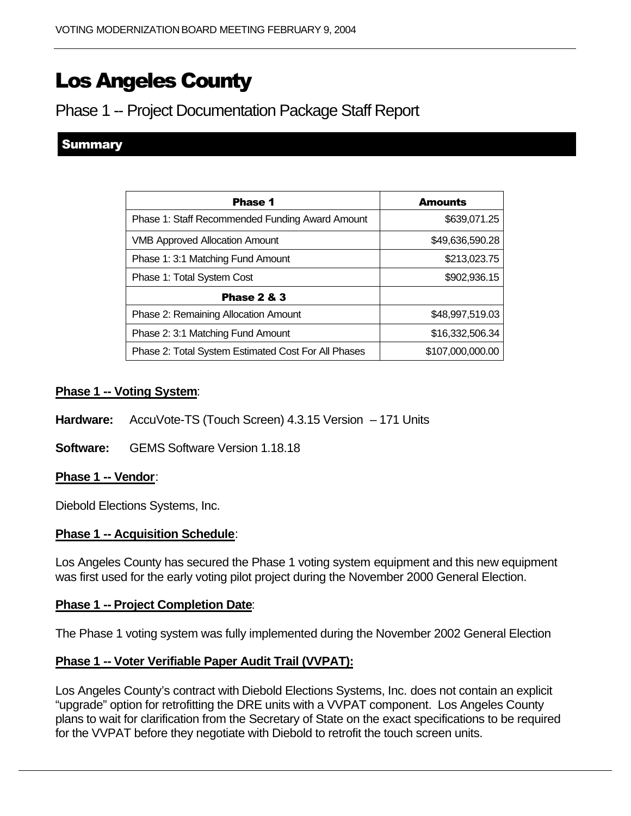# Los Angeles County

# Phase 1 -- Project Documentation Package Staff Report

## **Summary**

| <b>Phase 1</b>                                      | <b>Amounts</b>   |
|-----------------------------------------------------|------------------|
| Phase 1: Staff Recommended Funding Award Amount     | \$639,071.25     |
| <b>VMB Approved Allocation Amount</b>               | \$49,636,590.28  |
| Phase 1: 3:1 Matching Fund Amount                   | \$213,023.75     |
| Phase 1: Total System Cost                          | \$902,936.15     |
| <b>Phase 2 &amp; 3</b>                              |                  |
| Phase 2: Remaining Allocation Amount                | \$48,997,519.03  |
| Phase 2: 3:1 Matching Fund Amount                   | \$16,332,506.34  |
| Phase 2: Total System Estimated Cost For All Phases | \$107,000,000.00 |

#### **Phase 1 -- Voting System**:

- Hardware: AccuVote-TS (Touch Screen) 4.3.15 Version 171 Units
- **Software:** GEMS Software Version 1.18.18

#### **Phase 1 -- Vendor**:

Diebold Elections Systems, Inc.

#### **Phase 1 -- Acquisition Schedule**:

Los Angeles County has secured the Phase 1 voting system equipment and this new equipment was first used for the early voting pilot project during the November 2000 General Election.

#### **Phase 1 -- Project Completion Date**:

The Phase 1 voting system was fully implemented during the November 2002 General Election

### **Phase 1 -- Voter Verifiable Paper Audit Trail (VVPAT):**

Los Angeles County's contract with Diebold Elections Systems, Inc. does not contain an explicit "upgrade" option for retrofitting the DRE units with a VVPAT component. Los Angeles County plans to wait for clarification from the Secretary of State on the exact specifications to be required for the VVPAT before they negotiate with Diebold to retrofit the touch screen units.